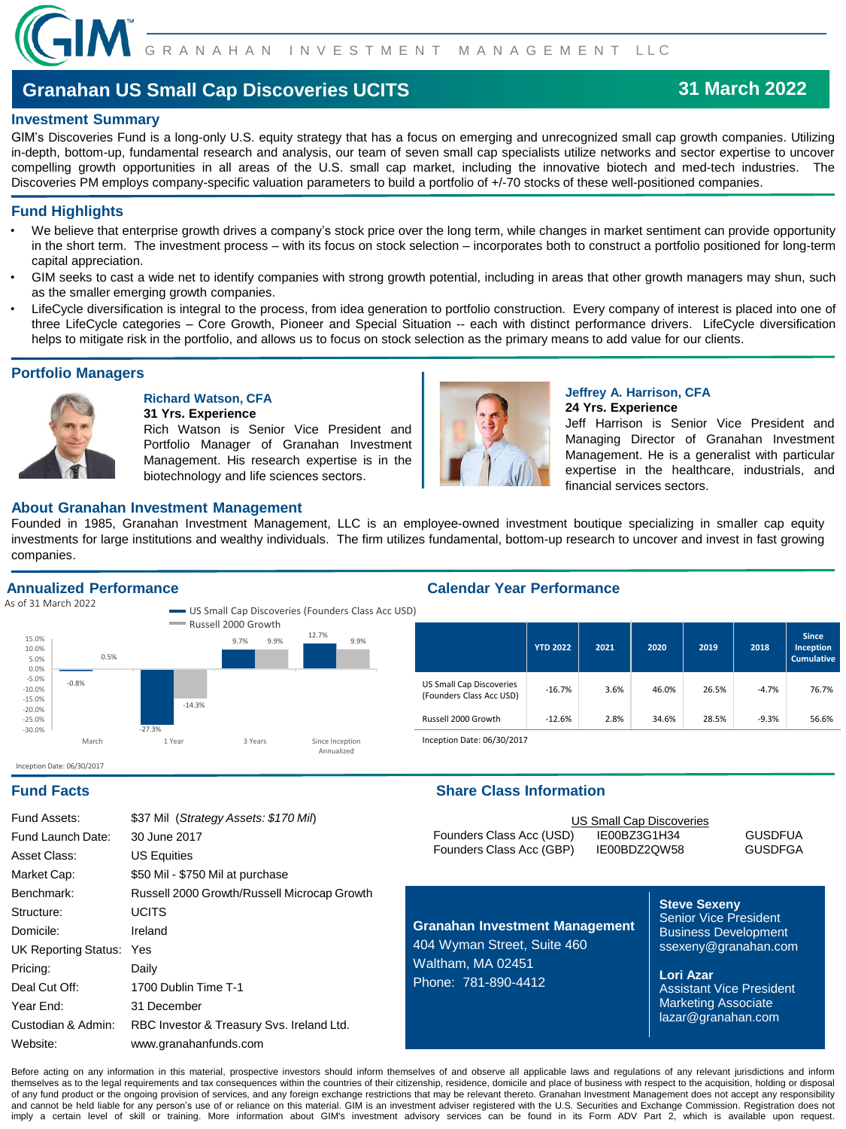

# **Granahan US Small Cap Discoveries UCITS**

# **31 March 2022**

## **Investment Summary**

GIM's Discoveries Fund is a long-only U.S. equity strategy that has a focus on emerging and unrecognized small cap growth companies. Utilizing in-depth, bottom-up, fundamental research and analysis, our team of seven small cap specialists utilize networks and sector expertise to uncover compelling growth opportunities in all areas of the U.S. small cap market, including the innovative biotech and med-tech industries. The Discoveries PM employs company-specific valuation parameters to build a portfolio of +/-70 stocks of these well-positioned companies.

# **Fund Highlights**

- We believe that enterprise growth drives a company's stock price over the long term, while changes in market sentiment can provide opportunity in the short term. The investment process – with its focus on stock selection – incorporates both to construct a portfolio positioned for long-term capital appreciation.
- GIM seeks to cast a wide net to identify companies with strong growth potential, including in areas that other growth managers may shun, such as the smaller emerging growth companies.
- LifeCycle diversification is integral to the process, from idea generation to portfolio construction. Every company of interest is placed into one of three LifeCycle categories – Core Growth, Pioneer and Special Situation -- each with distinct performance drivers. LifeCycle diversification helps to mitigate risk in the portfolio, and allows us to focus on stock selection as the primary means to add value for our clients.

# **Portfolio Managers**



#### **Richard Watson, CFA 31 Yrs. Experience**

Rich Watson is Senior Vice President and Portfolio Manager of Granahan Investment Management. His research expertise is in the biotechnology and life sciences sectors.

Annualized



### **Jeffrey A. Harrison, CFA 24 Yrs. Experience**

Jeff Harrison is Senior Vice President and Managing Director of Granahan Investment Management. He is a generalist with particular expertise in the healthcare, industrials, and financial services sectors.

## **About Granahan Investment Management**

Founded in 1985, Granahan Investment Management, LLC is an employee-owned investment boutique specializing in smaller cap equity investments for large institutions and wealthy individuals. The firm utilizes fundamental, bottom-up research to uncover and invest in fast growing companies.

# **Annualized Performance**

Inception Date: 06/30/2017

As of 31 March 2022 **US** Small Cap Discoveries (Founders Class Acc US Russell 2000 Growth -0.8% -27.3% 9.7% 12.7% 0.5% -14.3%  $9.9\%$   $\frac{12.7\%}{9.9\%}$   $9.9\%$ -30.0% -25.0% -20.0% -15.0% -10.0% -5.0% 0.0% 5.0% 10.0% 15.0% March 1 Year 3 Years Since Inception

# **Calendar Year Performance**

| ושכי |                                                             |                 |      |       |       |         |                                                |
|------|-------------------------------------------------------------|-----------------|------|-------|-------|---------|------------------------------------------------|
|      |                                                             | <b>YTD 2022</b> | 2021 | 2020  | 2019  | 2018    | <b>Since</b><br>Inception<br><b>Cumulative</b> |
|      | <b>US Small Cap Discoveries</b><br>(Founders Class Acc USD) | $-16.7%$        | 3.6% | 46.0% | 26.5% | $-4.7%$ | 76.7%                                          |
|      | Russell 2000 Growth                                         | $-12.6%$        | 2.8% | 34.6% | 28.5% | $-9.3%$ | 56.6%                                          |

Inception Date: 06/30/2017

# **Fund Facts Share Class Information**

| Fund Assets:             | \$37 Mil (Strategy Assets: \$170 Mil)       |
|--------------------------|---------------------------------------------|
| Fund Launch Date:        | 30 June 2017                                |
| Asset Class:             | <b>US Equities</b>                          |
| Market Cap:              | \$50 Mil - \$750 Mil at purchase            |
| Benchmark:               | Russell 2000 Growth/Russell Microcap Growth |
| Structure:               | <b>UCITS</b>                                |
| Domicile:                | Ireland                                     |
| UK Reporting Status: Yes |                                             |
| Pricing:                 | Daily                                       |
| Deal Cut Off:            | 1700 Dublin Time T-1                        |
| Year End:                | 31 December                                 |
| Custodian & Admin:       | RBC Investor & Treasury Svs. Ireland Ltd.   |
| Website:                 | www.granahanfunds.com                       |

| US Small Cap Discoveries |                |
|--------------------------|----------------|
| IE00BZ3G1H34             | <b>GUSDFUA</b> |
| IE00BDZ2QW58             | <b>GUSDFGA</b> |
|                          |                |

**Granahan Investment Management** 404 Wyman Street, Suite 460 Waltham, MA 02451 Phone: 781-890-4412

**Steve Sexeny** Senior Vice President Business Development ssexeny@granahan.com

**Lori Azar** Assistant Vice President Marketing Associate lazar@granahan.com

Before acting on any information in this material, prospective investors should inform themselves of and observe all applicable laws and regulations of any relevant jurisdictions and inform themselves as to the legal requirements and tax consequences within the countries of their citizenship, residence, domicile and place of business with respect to the acquisition, holding or disposal of any fund product or the ongoing provision of services, and any foreign exchange restrictions that may be relevant thereto. Granahan Investment Management does not accept any responsibility and cannot be held liable for any person's use of or reliance on this material. GIM is an investment adviser registered with the U.S. Securities and Exchange Commission. Registration does not imply a certain level of skill or training. More information about GIM's investment advisory services can be found in its Form ADV Part 2, which is available upon request.